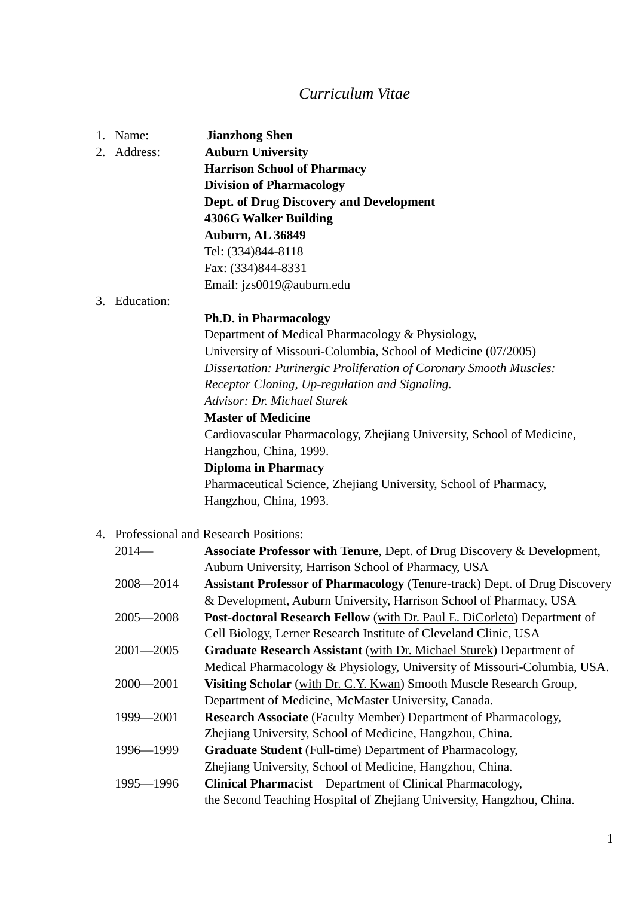## *Curriculum Vitae*

|  | 1. Name:      | <b>Jianzhong Shen</b>                                                              |
|--|---------------|------------------------------------------------------------------------------------|
|  | 2. Address:   | <b>Auburn University</b>                                                           |
|  |               | <b>Harrison School of Pharmacy</b>                                                 |
|  |               | <b>Division of Pharmacology</b>                                                    |
|  |               | <b>Dept. of Drug Discovery and Development</b>                                     |
|  |               | <b>4306G Walker Building</b>                                                       |
|  |               | Auburn, AL 36849                                                                   |
|  |               | Tel: (334)844-8118                                                                 |
|  |               | Fax: (334)844-8331                                                                 |
|  |               | Email: jzs0019@auburn.edu                                                          |
|  | 3. Education: |                                                                                    |
|  |               | <b>Ph.D. in Pharmacology</b>                                                       |
|  |               | Department of Medical Pharmacology & Physiology,                                   |
|  |               | University of Missouri-Columbia, School of Medicine (07/2005)                      |
|  |               | Dissertation: <i>Purinergic Proliferation of Coronary Smooth Muscles:</i>          |
|  |               | Receptor Cloning, Up-regulation and Signaling.                                     |
|  |               | Advisor: Dr. Michael Sturek                                                        |
|  |               | <b>Master of Medicine</b>                                                          |
|  |               | Cardiovascular Pharmacology, Zhejiang University, School of Medicine,              |
|  |               | Hangzhou, China, 1999.                                                             |
|  |               | <b>Diploma in Pharmacy</b>                                                         |
|  |               | Pharmaceutical Science, Zhejiang University, School of Pharmacy,                   |
|  |               | Hangzhou, China, 1993.                                                             |
|  |               | 4. Professional and Research Positions:                                            |
|  | $2014-$       | <b>Associate Professor with Tenure, Dept. of Drug Discovery &amp; Development,</b> |
|  |               | Auburn University, Harrison School of Pharmacy, USA                                |
|  | $2008 - 2014$ | Assistant Professor of Pharmacology (Tenure-track) Dept. of Drug Discovery         |
|  |               | & Development, Auburn University, Harrison School of Pharmacy, USA                 |
|  | $2005 - 2008$ | <b>Post-doctoral Research Fellow</b> (with Dr. Paul E. DiCorleto) Department of    |
|  |               | Cell Biology, Lerner Research Institute of Cleveland Clinic, USA                   |
|  | $2001 - 2005$ | Graduate Research Assistant (with Dr. Michael Sturek) Department of                |
|  |               | Medical Pharmacology & Physiology, University of Missouri-Columbia, USA.           |
|  | $2000 - 2001$ | Visiting Scholar (with Dr. C.Y. Kwan) Smooth Muscle Research Group,                |
|  |               | Department of Medicine, McMaster University, Canada.                               |
|  | 1999-2001     | <b>Research Associate</b> (Faculty Member) Department of Pharmacology,             |
|  |               | Zhejiang University, School of Medicine, Hangzhou, China.                          |
|  | 1996-1999     | Graduate Student (Full-time) Department of Pharmacology,                           |
|  |               | Zhejiang University, School of Medicine, Hangzhou, China.                          |
|  | 1995-1996     | <b>Clinical Pharmacist</b> Department of Clinical Pharmacology,                    |
|  |               | the Second Teaching Hospital of Zhejiang University, Hangzhou, China.              |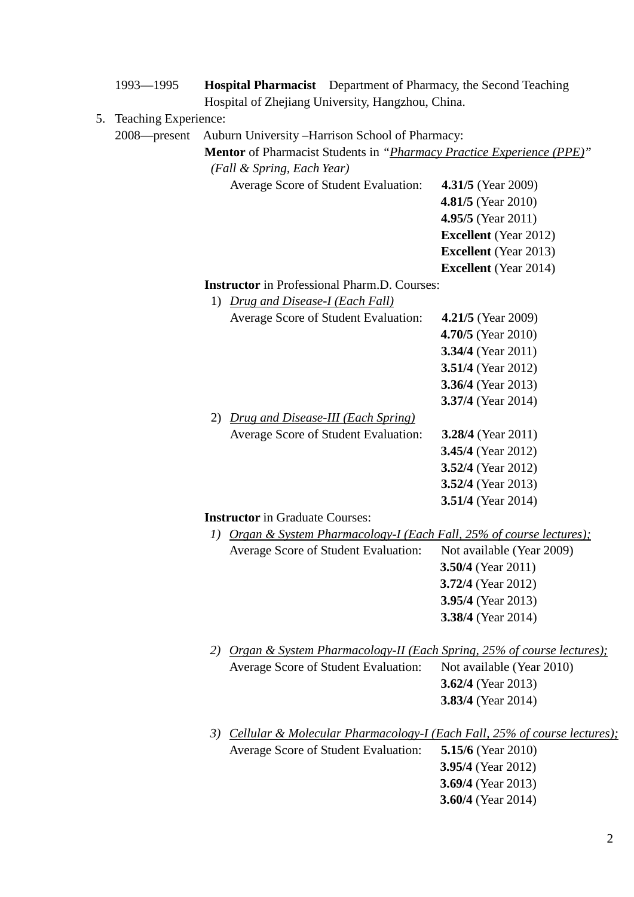|    | 1993-1995            | Hospital Pharmacist Department of Pharmacy, the Second Teaching              |                                                 |  |  |
|----|----------------------|------------------------------------------------------------------------------|-------------------------------------------------|--|--|
|    |                      | Hospital of Zhejiang University, Hangzhou, China.                            |                                                 |  |  |
| 5. | Teaching Experience: |                                                                              |                                                 |  |  |
|    | 2008-present         | Auburn University -Harrison School of Pharmacy:                              |                                                 |  |  |
|    |                      | <b>Mentor</b> of Pharmacist Students in "Pharmacy Practice Experience (PPE)" |                                                 |  |  |
|    |                      | (Fall & Spring, Each Year)                                                   |                                                 |  |  |
|    |                      | Average Score of Student Evaluation:                                         | <b>4.31/5</b> (Year 2009)<br>4.81/5 (Year 2010) |  |  |
|    |                      |                                                                              | 4.95/5 (Year 2011)                              |  |  |
|    |                      |                                                                              | <b>Excellent</b> (Year 2012)                    |  |  |
|    |                      |                                                                              | <b>Excellent</b> (Year 2013)                    |  |  |
|    |                      |                                                                              | <b>Excellent</b> (Year 2014)                    |  |  |
|    |                      | <b>Instructor</b> in Professional Pharm.D. Courses:                          |                                                 |  |  |
|    |                      | <b>Drug and Disease-I (Each Fall)</b><br>1)                                  |                                                 |  |  |
|    |                      | Average Score of Student Evaluation:                                         | <b>4.21/5</b> (Year 2009)                       |  |  |
|    |                      |                                                                              | 4.70/5 (Year 2010)                              |  |  |
|    |                      |                                                                              | 3.34/4 (Year 2011)                              |  |  |
|    |                      |                                                                              | 3.51/4 (Year 2012)                              |  |  |
|    |                      |                                                                              | 3.36/4 (Year 2013)                              |  |  |
|    |                      |                                                                              | 3.37/4 (Year 2014)                              |  |  |
|    |                      | Drug and Disease-III (Each Spring)<br>2)                                     |                                                 |  |  |
|    |                      | Average Score of Student Evaluation:                                         | <b>3.28/4</b> (Year 2011)                       |  |  |
|    |                      |                                                                              | 3.45/4 (Year 2012)                              |  |  |
|    |                      |                                                                              | 3.52/4 (Year 2012)                              |  |  |
|    |                      |                                                                              | 3.52/4 (Year 2013)                              |  |  |
|    |                      |                                                                              | <b>3.51/4</b> (Year 2014)                       |  |  |
|    |                      | <b>Instructor</b> in Graduate Courses:                                       |                                                 |  |  |
|    |                      | Organ & System Pharmacology-I (Each Fall, 25% of course lectures);<br>1)     |                                                 |  |  |
|    |                      | <b>Average Score of Student Evaluation:</b>                                  | Not available (Year 2009)                       |  |  |
|    |                      |                                                                              | 3.50/4 (Year 2011)                              |  |  |
|    |                      |                                                                              | 3.72/4 (Year 2012)                              |  |  |
|    |                      |                                                                              | 3.95/4 (Year 2013)                              |  |  |
|    |                      |                                                                              | 3.38/4 (Year 2014)                              |  |  |
|    |                      |                                                                              |                                                 |  |  |
|    |                      | 2) Organ & System Pharmacology-II (Each Spring, 25% of course lectures);     |                                                 |  |  |
|    |                      | Average Score of Student Evaluation:                                         | Not available (Year 2010)                       |  |  |
|    |                      |                                                                              | 3.62/4 (Year 2013)                              |  |  |
|    |                      |                                                                              | <b>3.83/4</b> (Year 2014)                       |  |  |
|    |                      |                                                                              |                                                 |  |  |
|    |                      | 3) Cellular & Molecular Pharmacology-I (Each Fall, 25% of course lectures);  |                                                 |  |  |
|    |                      | Average Score of Student Evaluation:                                         | <b>5.15/6</b> (Year 2010)                       |  |  |
|    |                      |                                                                              | <b>3.95/4</b> (Year 2012)                       |  |  |
|    |                      |                                                                              | 3.69/4 (Year 2013)                              |  |  |
|    |                      |                                                                              | 3.60/4 (Year 2014)                              |  |  |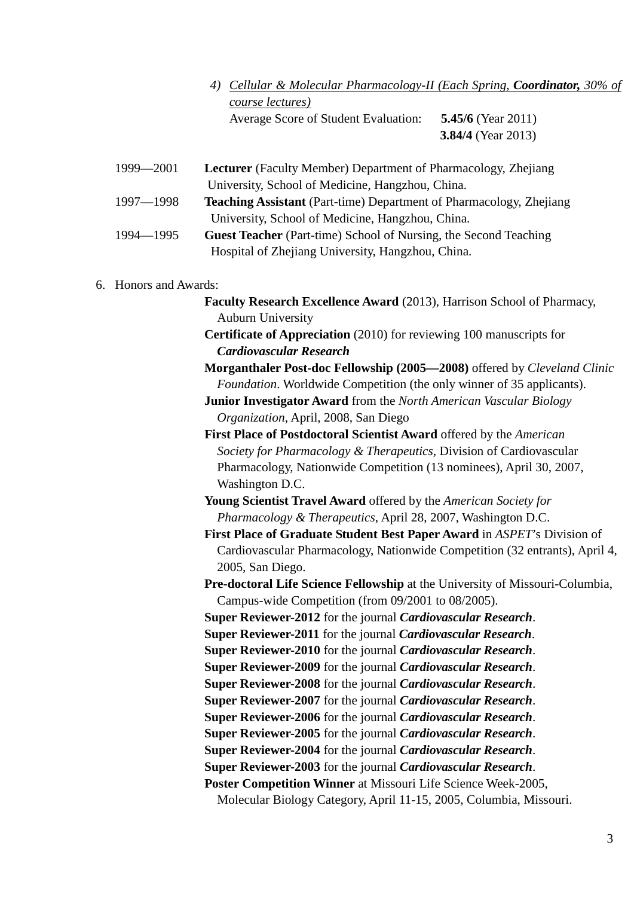- *4) Cellular & Molecular Pharmacology-II (Each Spring, Coordinator, 30% of course lectures)* Average Score of Student Evaluation: **5.45/6** (Year 2011)
	- **3.84/4** (Year 2013)
- 1999—2001 **Lecturer** (Faculty Member) Department of Pharmacology, Zhejiang University, School of Medicine, Hangzhou, China.
- 1997—1998 **Teaching Assistant** (Part-time) Department of Pharmacology, Zhejiang University, School of Medicine, Hangzhou, China.
- 1994—1995 **Guest Teacher** (Part-time) School of Nursing, the Second Teaching Hospital of Zhejiang University, Hangzhou, China.

## 6. Honors and Awards:

- **Faculty Research Excellence Award** (2013), Harrison School of Pharmacy, Auburn University
- **Certificate of Appreciation** (2010) for reviewing 100 manuscripts for *Cardiovascular Research*
- **Morganthaler Post-doc Fellowship (2005—2008)** offered by *Cleveland Clinic Foundation*. Worldwide Competition (the only winner of 35 applicants).
- **Junior Investigator Award** from the *North American Vascular Biology Organization*, April, 2008, San Diego
- **First Place of Postdoctoral Scientist Award** offered by the *American Society for Pharmacology & Therapeutics*, Division of Cardiovascular Pharmacology, Nationwide Competition (13 nominees), April 30, 2007, Washington D.C.
- **Young Scientist Travel Award** offered by the *American Society for Pharmacology & Therapeutics*, April 28, 2007, Washington D.C.
- **First Place of Graduate Student Best Paper Award** in *ASPET*'s Division of Cardiovascular Pharmacology, Nationwide Competition (32 entrants), April 4, 2005, San Diego.
- **Pre-doctoral Life Science Fellowship** at the University of Missouri-Columbia, Campus-wide Competition (from 09/2001 to 08/2005).

 **Super Reviewer-2012** for the journal *Cardiovascular Research*. **Super Reviewer-2011** for the journal *Cardiovascular Research*.

- **Super Reviewer-2010** for the journal *Cardiovascular Research*.
- **Super Reviewer-2009** for the journal *Cardiovascular Research*.
- **Super Reviewer-2008** for the journal *Cardiovascular Research*.
- **Super Reviewer-2007** for the journal *Cardiovascular Research*.
- **Super Reviewer-2006** for the journal *Cardiovascular Research*.
- **Super Reviewer-2005** for the journal *Cardiovascular Research*.
- **Super Reviewer-2004** for the journal *Cardiovascular Research*.
- **Super Reviewer-2003** for the journal *Cardiovascular Research*.

 **Poster Competition Winner** at Missouri Life Science Week-2005,

Molecular Biology Category, April 11-15, 2005, Columbia, Missouri.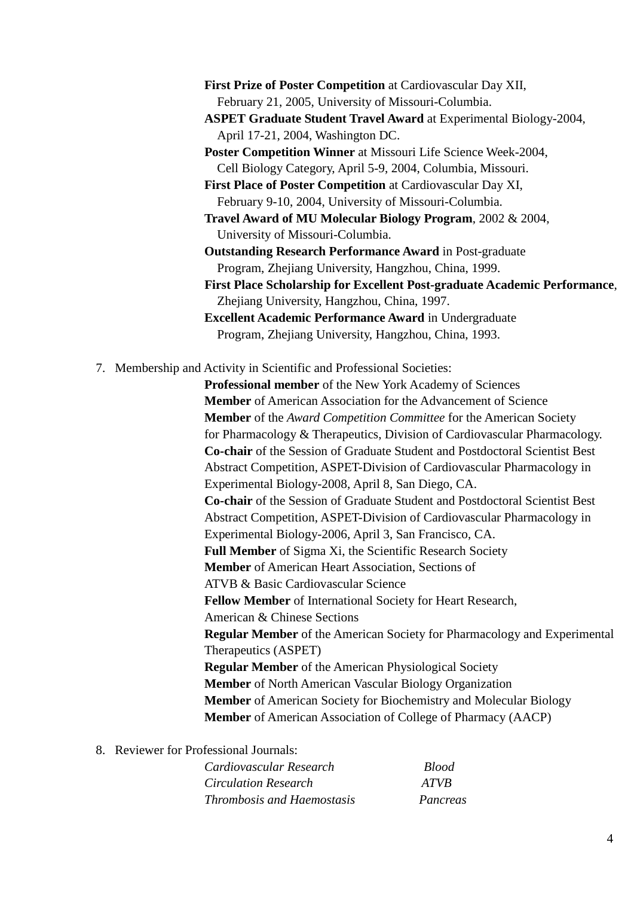**First Prize of Poster Competition** at Cardiovascular Day XII, February 21, 2005, University of Missouri-Columbia.

 **ASPET Graduate Student Travel Award** at Experimental Biology-2004, April 17-21, 2004, Washington DC.

 **Poster Competition Winner** at Missouri Life Science Week-2004, Cell Biology Category, April 5-9, 2004, Columbia, Missouri.

 **First Place of Poster Competition** at Cardiovascular Day XI, February 9-10, 2004, University of Missouri-Columbia.

 **Travel Award of MU Molecular Biology Program**, 2002 & 2004, University of Missouri-Columbia.

 **Outstanding Research Performance Award** in Post-graduate Program, Zhejiang University, Hangzhou, China, 1999.

 **First Place Scholarship for Excellent Post-graduate Academic Performance**, Zhejiang University, Hangzhou, China, 1997.

 **Excellent Academic Performance Award** in Undergraduate Program, Zhejiang University, Hangzhou, China, 1993.

7. Membership and Activity in Scientific and Professional Societies:

 **Professional member** of the New York Academy of Sciences  **Member** of American Association for the Advancement of Science **Member** of the *Award Competition Committee* for the American Society for Pharmacology & Therapeutics, Division of Cardiovascular Pharmacology. **Co-chair** of the Session of Graduate Student and Postdoctoral Scientist Best Abstract Competition, ASPET-Division of Cardiovascular Pharmacology in Experimental Biology-2008, April 8, San Diego, CA. **Co-chair** of the Session of Graduate Student and Postdoctoral Scientist Best Abstract Competition, ASPET-Division of Cardiovascular Pharmacology in Experimental Biology-2006, April 3, San Francisco, CA. **Full Member** of Sigma Xi, the Scientific Research Society **Member** of American Heart Association, Sections of ATVB & Basic Cardiovascular Science **Fellow Member** of International Society for Heart Research, American & Chinese Sections **Regular Member** of the American Society for Pharmacology and Experimental Therapeutics (ASPET) **Regular Member** of the American Physiological Society **Member** of North American Vascular Biology Organization **Member** of American Society for Biochemistry and Molecular Biology **Member** of American Association of College of Pharmacy (AACP)

8. Reviewer for Professional Journals:

*Cardiovascular Research Blood Circulation Research ATVB Thrombosis and Haemostasis Pancreas*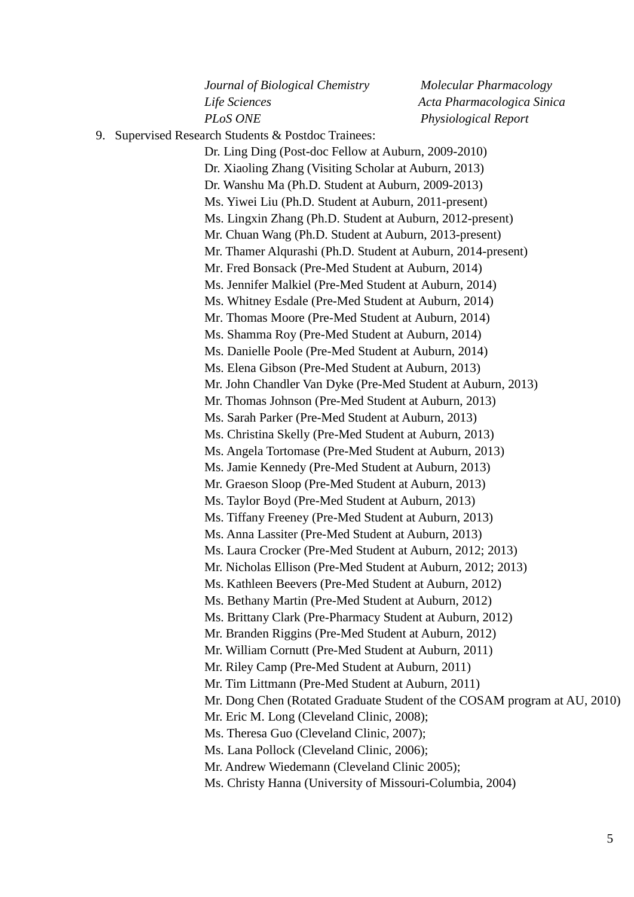*Journal of Biological Chemistry Molecular Pharmacology Life Sciences Acta Pharmacologica Sinica PLoS ONE Physiological Report*

9. Supervised Research Students & Postdoc Trainees:

 Dr. Ling Ding (Post-doc Fellow at Auburn, 2009-2010) Dr. Xiaoling Zhang (Visiting Scholar at Auburn, 2013) Dr. Wanshu Ma (Ph.D. Student at Auburn, 2009-2013) Ms. Yiwei Liu (Ph.D. Student at Auburn, 2011-present) Ms. Lingxin Zhang (Ph.D. Student at Auburn, 2012-present) Mr. Chuan Wang (Ph.D. Student at Auburn, 2013-present) Mr. Thamer Alqurashi (Ph.D. Student at Auburn, 2014-present) Mr. Fred Bonsack (Pre-Med Student at Auburn, 2014) Ms. Jennifer Malkiel (Pre-Med Student at Auburn, 2014) Ms. Whitney Esdale (Pre-Med Student at Auburn, 2014) Mr. Thomas Moore (Pre-Med Student at Auburn, 2014) Ms. Shamma Roy (Pre-Med Student at Auburn, 2014) Ms. Danielle Poole (Pre-Med Student at Auburn, 2014) Ms. Elena Gibson (Pre-Med Student at Auburn, 2013) Mr. John Chandler Van Dyke (Pre-Med Student at Auburn, 2013) Mr. Thomas Johnson (Pre-Med Student at Auburn, 2013) Ms. Sarah Parker (Pre-Med Student at Auburn, 2013) Ms. Christina Skelly (Pre-Med Student at Auburn, 2013) Ms. Angela Tortomase (Pre-Med Student at Auburn, 2013) Ms. Jamie Kennedy (Pre-Med Student at Auburn, 2013) Mr. Graeson Sloop (Pre-Med Student at Auburn, 2013) Ms. Taylor Boyd (Pre-Med Student at Auburn, 2013) Ms. Tiffany Freeney (Pre-Med Student at Auburn, 2013) Ms. Anna Lassiter (Pre-Med Student at Auburn, 2013) Ms. Laura Crocker (Pre-Med Student at Auburn, 2012; 2013) Mr. Nicholas Ellison (Pre-Med Student at Auburn, 2012; 2013) Ms. Kathleen Beevers (Pre-Med Student at Auburn, 2012) Ms. Bethany Martin (Pre-Med Student at Auburn, 2012) Ms. Brittany Clark (Pre-Pharmacy Student at Auburn, 2012) Mr. Branden Riggins (Pre-Med Student at Auburn, 2012) Mr. William Cornutt (Pre-Med Student at Auburn, 2011) Mr. Riley Camp (Pre-Med Student at Auburn, 2011) Mr. Tim Littmann (Pre-Med Student at Auburn, 2011) Mr. Dong Chen (Rotated Graduate Student of the COSAM program at AU, 2010) Mr. Eric M. Long (Cleveland Clinic, 2008); Ms. Theresa Guo (Cleveland Clinic, 2007); Ms. Lana Pollock (Cleveland Clinic, 2006); Mr. Andrew Wiedemann (Cleveland Clinic 2005); Ms. Christy Hanna (University of Missouri-Columbia, 2004)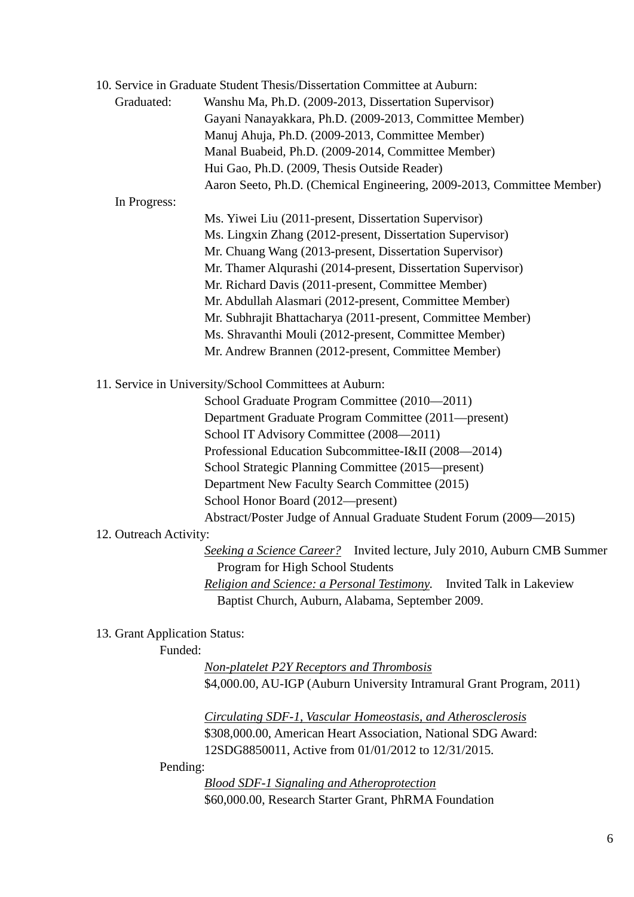|                               | 10. Service in Graduate Student Thesis/Dissertation Committee at Auburn: |
|-------------------------------|--------------------------------------------------------------------------|
| Graduated:                    | Wanshu Ma, Ph.D. (2009-2013, Dissertation Supervisor)                    |
|                               | Gayani Nanayakkara, Ph.D. (2009-2013, Committee Member)                  |
|                               | Manuj Ahuja, Ph.D. (2009-2013, Committee Member)                         |
|                               | Manal Buabeid, Ph.D. (2009-2014, Committee Member)                       |
|                               | Hui Gao, Ph.D. (2009, Thesis Outside Reader)                             |
|                               | Aaron Seeto, Ph.D. (Chemical Engineering, 2009-2013, Committee Member)   |
| In Progress:                  |                                                                          |
|                               | Ms. Yiwei Liu (2011-present, Dissertation Supervisor)                    |
|                               | Ms. Lingxin Zhang (2012-present, Dissertation Supervisor)                |
|                               | Mr. Chuang Wang (2013-present, Dissertation Supervisor)                  |
|                               | Mr. Thamer Alqurashi (2014-present, Dissertation Supervisor)             |
|                               | Mr. Richard Davis (2011-present, Committee Member)                       |
|                               | Mr. Abdullah Alasmari (2012-present, Committee Member)                   |
|                               | Mr. Subhrajit Bhattacharya (2011-present, Committee Member)              |
|                               | Ms. Shravanthi Mouli (2012-present, Committee Member)                    |
|                               | Mr. Andrew Brannen (2012-present, Committee Member)                      |
|                               | 11. Service in University/School Committees at Auburn:                   |
|                               | School Graduate Program Committee (2010-2011)                            |
|                               | Department Graduate Program Committee (2011—present)                     |
|                               | School IT Advisory Committee (2008-2011)                                 |
|                               | Professional Education Subcommittee-I&II (2008-2014)                     |
|                               | School Strategic Planning Committee (2015—present)                       |
|                               | Department New Faculty Search Committee (2015)                           |
|                               | School Honor Board (2012—present)                                        |
|                               | Abstract/Poster Judge of Annual Graduate Student Forum (2009-2015)       |
| 12. Outreach Activity:        |                                                                          |
|                               | Seeking a Science Career? Invited lecture, July 2010, Auburn CMB Summer  |
|                               | Program for High School Students                                         |
|                               | Religion and Science: a Personal Testimony.<br>Invited Talk in Lakeview  |
|                               | Baptist Church, Auburn, Alabama, September 2009.                         |
| 13. Grant Application Status: |                                                                          |
| Funded:                       |                                                                          |
|                               | <b>Non-platelet P2Y Receptors and Thrombosis</b>                         |
|                               | \$4,000.00, AU-IGP (Auburn University Intramural Grant Program, 2011)    |
|                               | <b>Circulating SDF-1, Vascular Homeostasis, and Atherosclerosis</b>      |
|                               |                                                                          |

 \$308,000.00, American Heart Association, National SDG Award: 12SDG8850011, Active from 01/01/2012 to 12/31/2015.

Pending:

 *Blood SDF-1 Signaling and Atheroprotection* \$60,000.00, Research Starter Grant, PhRMA Foundation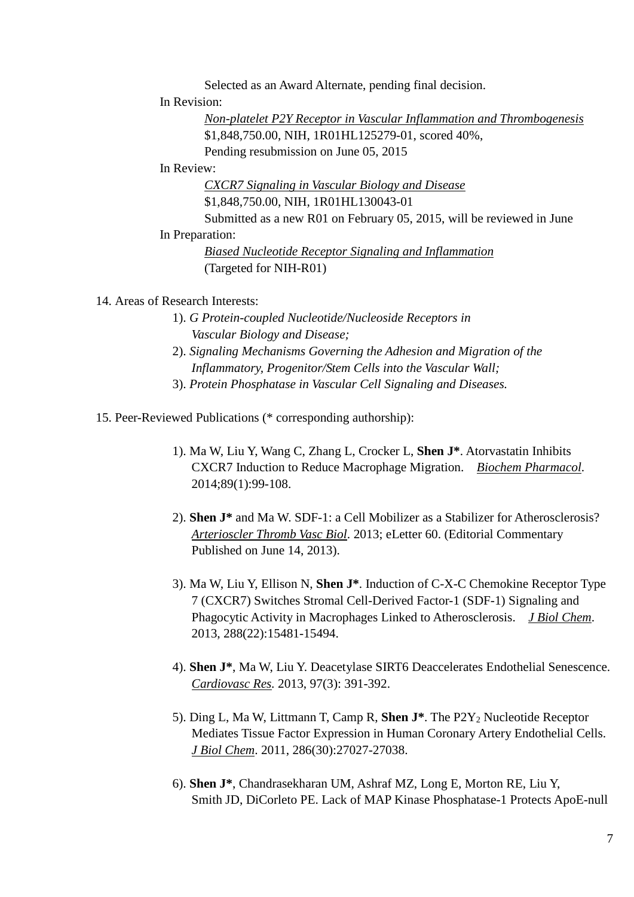Selected as an Award Alternate, pending final decision.

In Revision:

 *Non-platelet P2Y Receptor in Vascular Inflammation and Thrombogenesis* \$1,848,750.00, NIH, 1R01HL125279-01, scored 40%, Pending resubmission on June 05, 2015

In Review:

 *CXCR7 Signaling in Vascular Biology and Disease*

\$1,848,750.00, NIH, 1R01HL130043-01

 Submitted as a new R01 on February 05, 2015, will be reviewed in June In Preparation:

> *Biased Nucleotide Receptor Signaling and Inflammation* (Targeted for NIH-R01)

14. Areas of Research Interests:

- 1). *G Protein-coupled Nucleotide/Nucleoside Receptors in Vascular Biology and Disease;*
- 2). *Signaling Mechanisms Governing the Adhesion and Migration of the Inflammatory, Progenitor/Stem Cells into the Vascular Wall;*
- 3). *Protein Phosphatase in Vascular Cell Signaling and Diseases.*

15. Peer-Reviewed Publications (\* corresponding authorship):

- 1). Ma W, Liu Y, Wang C, Zhang L, Crocker L, **Shen J\***. Atorvastatin Inhibits CXCR7 Induction to Reduce Macrophage Migration. *Biochem Pharmacol*. 2014;89(1):99-108.
- 2). **Shen J\*** and Ma W. SDF-1: a Cell Mobilizer as a Stabilizer for Atherosclerosis? *Arterioscler Thromb Vasc Biol*. 2013; eLetter 60. (Editorial Commentary Published on June 14, 2013).
- 3). Ma W, Liu Y, Ellison N, **Shen J\***. Induction of C-X-C Chemokine Receptor Type 7 (CXCR7) Switches Stromal Cell-Derived Factor-1 (SDF-1) Signaling and Phagocytic Activity in Macrophages Linked to Atherosclerosis. *J Biol Chem*. 2013, 288(22):15481-15494.
- 4). **Shen J\***, Ma W, Liu Y. Deacetylase SIRT6 Deaccelerates Endothelial Senescence. *Cardiovasc Res.* 2013, 97(3): 391-392.
- 5). Ding L, Ma W, Littmann T, Camp R, **Shen J\***. The P2Y2 Nucleotide Receptor Mediates Tissue Factor Expression in Human Coronary Artery Endothelial Cells. *J Biol Chem*. 2011, 286(30):27027-27038.
- 6). **Shen J\***, Chandrasekharan UM, Ashraf MZ, Long E, Morton RE, Liu Y, Smith JD, DiCorleto PE. Lack of MAP Kinase Phosphatase-1 Protects ApoE-null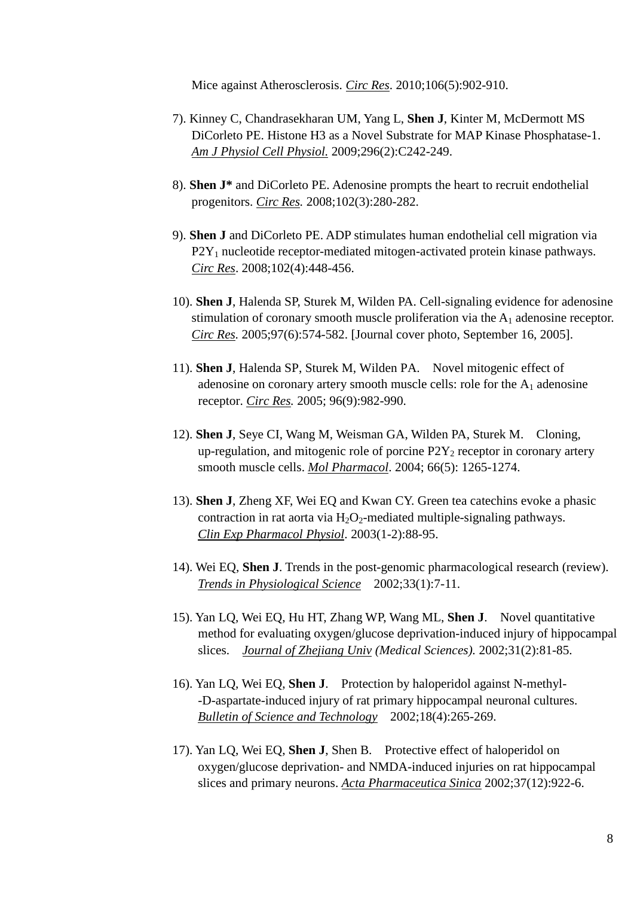Mice against Atherosclerosis. *Circ Res*. 2010;106(5):902-910.

- 7). Kinney C, Chandrasekharan UM, Yang L, **Shen J**, Kinter M, McDermott MS DiCorleto PE. Histone H3 as a Novel Substrate for MAP Kinase Phosphatase-1. *Am J Physiol Cell Physiol.* 2009;296(2):C242-249.
- 8). **Shen J\*** and DiCorleto PE. Adenosine prompts the heart to recruit endothelial progenitors. *Circ Res.* 2008;102(3):280-282.
- 9). **Shen J** and DiCorleto PE. ADP stimulates human endothelial cell migration via  $P2Y_1$  nucleotide receptor-mediated mitogen-activated protein kinase pathways. *Circ Res*. 2008;102(4):448-456.
- 10). **Shen J**, Halenda SP, Sturek M, Wilden PA. Cell-signaling evidence for adenosine stimulation of coronary smooth muscle proliferation via the  $A_1$  adenosine receptor. *Circ Res.* 2005;97(6):574-582. [Journal cover photo, September 16, 2005].
- 11). **Shen J**, Halenda SP, Sturek M, Wilden PA. Novel mitogenic effect of adenosine on coronary artery smooth muscle cells: role for the  $A_1$  adenosine receptor. *Circ Res.* 2005; 96(9):982-990.
- 12). **Shen J**, Seye CI, Wang M, Weisman GA, Wilden PA, Sturek M. Cloning, up-regulation, and mitogenic role of porcine  $P2Y_2$  receptor in coronary artery smooth muscle cells. *Mol Pharmacol*. 2004; 66(5): 1265-1274.
- 13). **Shen J**, Zheng XF, Wei EQ and Kwan CY. Green tea catechins evoke a phasic contraction in rat aorta via  $H_2O_2$ -mediated multiple-signaling pathways. *Clin Exp Pharmacol Physiol*. 2003(1-2):88-95.
- 14). Wei EQ, **Shen J**. Trends in the post-genomic pharmacological research (review). *Trends in Physiological Science* 2002;33(1):7-11.
- 15). Yan LQ, Wei EQ, Hu HT, Zhang WP, Wang ML, **Shen J**. Novel quantitative method for evaluating oxygen/glucose deprivation-induced injury of hippocampal slices. *Journal of Zhejiang Univ (Medical Sciences).* 2002;31(2):81-85.
- 16). Yan LQ, Wei EQ, **Shen J**. Protection by haloperidol against N-methyl- -D-aspartate-induced injury of rat primary hippocampal neuronal cultures. *Bulletin of Science and Technology* 2002;18(4):265-269.
- 17). Yan LQ, Wei EQ, **Shen J**, Shen B. Protective effect of haloperidol on oxygen/glucose deprivation- and NMDA-induced injuries on rat hippocampal slices and primary neurons. *Acta Pharmaceutica Sinica* 2002;37(12):922-6.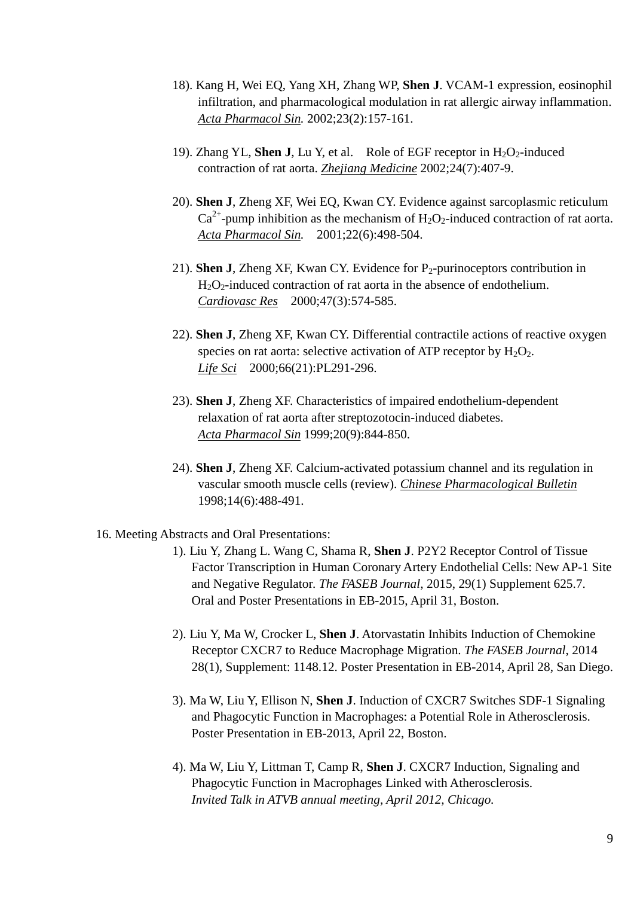- 18). Kang H, Wei EQ, Yang XH, Zhang WP, **Shen J**. VCAM-1 expression, eosinophil infiltration, and pharmacological modulation in rat allergic airway inflammation. *Acta Pharmacol Sin.* 2002;23(2):157-161.
- 19). Zhang YL, **Shen J**, Lu Y, et al. Role of EGF receptor in  $H_2O_2$ -induced contraction of rat aorta. *Zhejiang Medicine* 2002;24(7):407-9.
- 20). **Shen J**, Zheng XF, Wei EQ, Kwan CY. Evidence against sarcoplasmic reticulum  $Ca^{2+}$ -pump inhibition as the mechanism of H<sub>2</sub>O<sub>2</sub>-induced contraction of rat aorta. *Acta Pharmacol Sin.* 2001;22(6):498-504.
- 21). **Shen J**, Zheng XF, Kwan CY. Evidence for  $P_2$ -purinoceptors contribution in  $H_2O_2$ -induced contraction of rat aorta in the absence of endothelium. *Cardiovasc Res* 2000;47(3):574-585.
- 22). **Shen J**, Zheng XF, Kwan CY. Differential contractile actions of reactive oxygen species on rat aorta: selective activation of ATP receptor by  $H_2O_2$ . *Life Sci* 2000;66(21):PL291-296.
- 23). **Shen J**, Zheng XF. Characteristics of impaired endothelium-dependent relaxation of rat aorta after streptozotocin-induced diabetes. *Acta Pharmacol Sin* 1999;20(9):844-850.
- 24). **Shen J**, Zheng XF. Calcium-activated potassium channel and its regulation in vascular smooth muscle cells (review). *Chinese Pharmacological Bulletin* 1998;14(6):488-491.

## 16. Meeting Abstracts and Oral Presentations:

- 1). Liu Y, Zhang L. Wang C, Shama R, **Shen J**. P2Y2 Receptor Control of Tissue Factor Transcription in Human Coronary Artery Endothelial Cells: New AP-1 Site and Negative Regulator*. The FASEB Journal*, 2015, 29(1) Supplement 625.7. Oral and Poster Presentations in EB-2015, April 31, Boston.
- 2). Liu Y, Ma W, Crocker L, **Shen J**. Atorvastatin Inhibits Induction of Chemokine Receptor CXCR7 to Reduce Macrophage Migration. *The FASEB Journal*, 2014 28(1), Supplement: 1148.12. Poster Presentation in EB-2014, April 28, San Diego.
- 3). Ma W, Liu Y, Ellison N, **Shen J**. Induction of CXCR7 Switches SDF-1 Signaling and Phagocytic Function in Macrophages: a Potential Role in Atherosclerosis. Poster Presentation in EB-2013, April 22, Boston.
- 4). Ma W, Liu Y, Littman T, Camp R, **Shen J**. CXCR7 Induction, Signaling and Phagocytic Function in Macrophages Linked with Atherosclerosis. *Invited Talk in ATVB annual meeting, April 2012, Chicago.*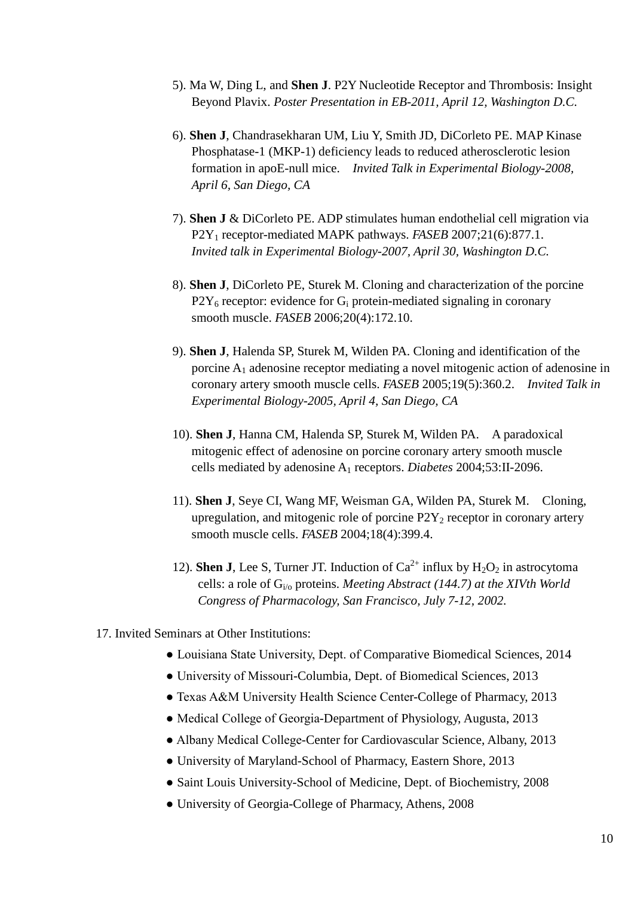- 5). Ma W, Ding L, and **Shen J**. P2Y Nucleotide Receptor and Thrombosis: Insight Beyond Plavix. *Poster Presentation in EB-2011, April 12, Washington D.C.*
- 6). **Shen J**, Chandrasekharan UM, Liu Y, Smith JD, DiCorleto PE. MAP Kinase Phosphatase-1 (MKP-1) deficiency leads to reduced atherosclerotic lesion formation in apoE-null mice. *Invited Talk in Experimental Biology-2008, April 6, San Diego, CA*
- 7). **Shen J** & DiCorleto PE. ADP stimulates human endothelial cell migration via P2Y1 receptor-mediated MAPK pathways. *FASEB* 2007;21(6):877.1. *Invited talk in Experimental Biology-2007, April 30, Washington D.C.*
- 8). **Shen J**, DiCorleto PE, Sturek M. Cloning and characterization of the porcine  $P2Y_6$  receptor: evidence for  $G_i$  protein-mediated signaling in coronary smooth muscle. *FASEB* 2006;20(4):172.10.
- 9). **Shen J**, Halenda SP, Sturek M, Wilden PA. Cloning and identification of the porcine A1 adenosine receptor mediating a novel mitogenic action of adenosine in coronary artery smooth muscle cells. *FASEB* 2005;19(5):360.2. *Invited Talk in Experimental Biology-2005, April 4, San Diego, CA*
- 10). **Shen J**, Hanna CM, Halenda SP, Sturek M, Wilden PA. A paradoxical mitogenic effect of adenosine on porcine coronary artery smooth muscle cells mediated by adenosine A1 receptors. *Diabetes* 2004;53:II-2096.
- 11). **Shen J**, Seye CI, Wang MF, Weisman GA, Wilden PA, Sturek M. Cloning, upregulation, and mitogenic role of porcine  $P2Y_2$  receptor in coronary artery smooth muscle cells. *FASEB* 2004;18(4):399.4.
- 12). **Shen J**, Lee S, Turner JT, Induction of  $Ca^{2+}$  influx by  $H_2O_2$  in astrocytoma cells: a role of Gi/o proteins. *Meeting Abstract (144.7) at the XIVth World Congress of Pharmacology, San Francisco, July 7-12, 2002.*
- 17. Invited Seminars at Other Institutions:
	- Louisiana State University, Dept. of Comparative Biomedical Sciences, 2014
	- University of Missouri-Columbia, Dept. of Biomedical Sciences, 2013
	- Texas A&M University Health Science Center-College of Pharmacy, 2013
	- Medical College of Georgia-Department of Physiology, Augusta, 2013
	- Albany Medical College-Center for Cardiovascular Science, Albany, 2013
	- University of Maryland-School of Pharmacy, Eastern Shore, 2013
	- Saint Louis University-School of Medicine, Dept. of Biochemistry, 2008
	- University of Georgia-College of Pharmacy, Athens, 2008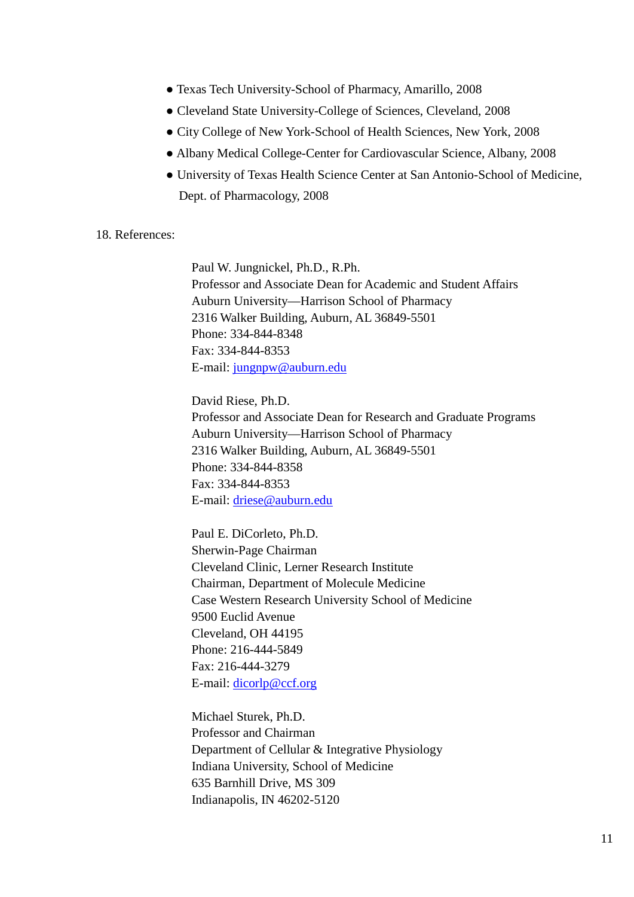- Texas Tech University-School of Pharmacy, Amarillo, 2008
- Cleveland State University-College of Sciences, Cleveland, 2008
- City College of New York-School of Health Sciences, New York, 2008
- Albany Medical College-Center for Cardiovascular Science, Albany, 2008
- University of Texas Health Science Center at San Antonio-School of Medicine, Dept. of Pharmacology, 2008

## 18. References:

 Paul W. Jungnickel, Ph.D., R.Ph. Professor and Associate Dean for Academic and Student Affairs Auburn University—Harrison School of Pharmacy 2316 Walker Building, Auburn, AL 36849-5501 Phone: 334-844-8348 Fax: 334-844-8353 E-mail: [jungnpw@auburn.edu](mailto:jungnpw@auburn.edu)

 David Riese, Ph.D. Professor and Associate Dean for Research and Graduate Programs Auburn University—Harrison School of Pharmacy 2316 Walker Building, Auburn, AL 36849-5501 Phone: 334-844-8358 Fax: 334-844-8353 E-mail: [driese@auburn.edu](mailto:driese@auburn.edu)

 Paul E. DiCorleto, Ph.D. Sherwin-Page Chairman Cleveland Clinic, Lerner Research Institute Chairman, Department of Molecule Medicine Case Western Research University School of Medicine 9500 Euclid Avenue Cleveland, OH 44195 Phone: 216-444-5849 Fax: 216-444-3279 E-mail: [dicorlp@ccf.org](mailto:dicorlp@ccf.org)

 Michael Sturek, Ph.D. Professor and Chairman Department of Cellular & Integrative Physiology Indiana University, School of Medicine 635 Barnhill Drive, MS 309 Indianapolis, IN 46202-5120